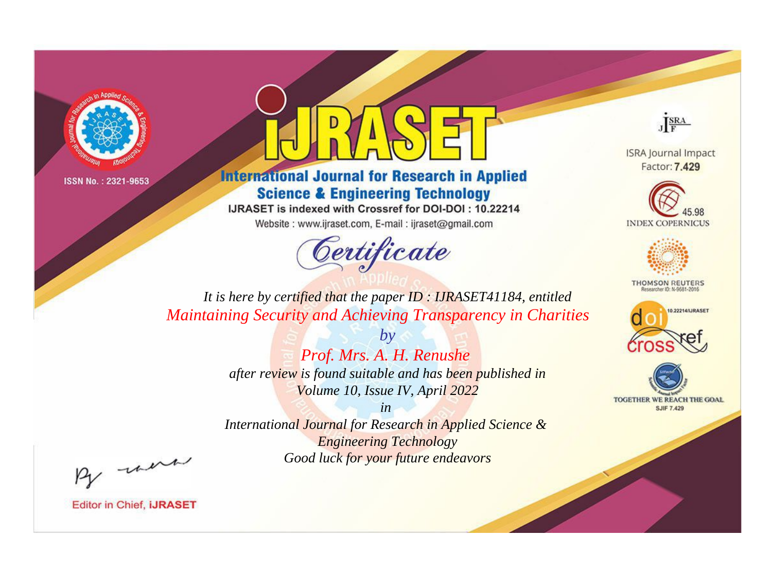



**International Journal for Research in Applied Science & Engineering Technology** 

IJRASET is indexed with Crossref for DOI-DOI: 10.22214

Website: www.ijraset.com, E-mail: ijraset@gmail.com



JERA

**ISRA Journal Impact** Factor: 7.429





**THOMSON REUTERS** 



TOGETHER WE REACH THE GOAL **SJIF 7.429** 

*It is here by certified that the paper ID : IJRASET41184, entitled Maintaining Security and Achieving Transparency in Charities*

> *Prof. Mrs. A. H. Renushe after review is found suitable and has been published in Volume 10, Issue IV, April 2022*

*by*

*in* 

*International Journal for Research in Applied Science & Engineering Technology Good luck for your future endeavors*

By morn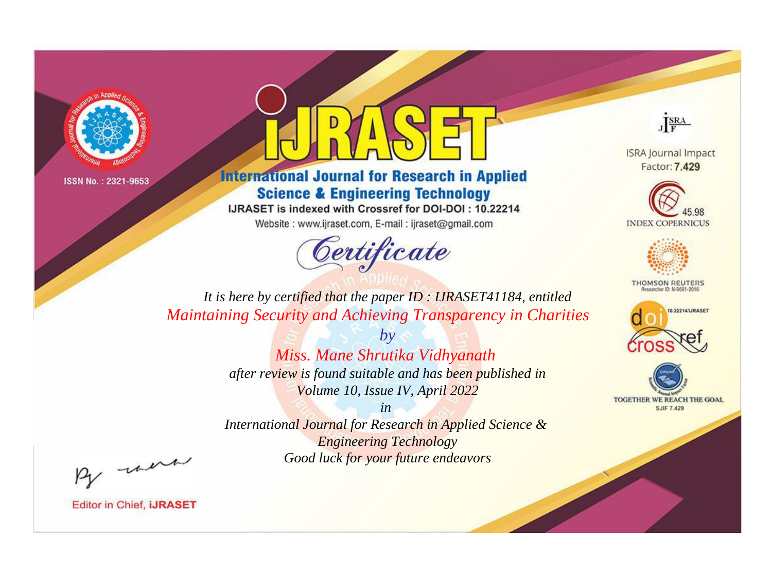



**International Journal for Research in Applied Science & Engineering Technology** 

IJRASET is indexed with Crossref for DOI-DOI: 10.22214

Website: www.ijraset.com, E-mail: ijraset@gmail.com



JERA

**ISRA Journal Impact** Factor: 7.429





**THOMSON REUTERS** 



TOGETHER WE REACH THE GOAL **SJIF 7.429** 

*It is here by certified that the paper ID : IJRASET41184, entitled Maintaining Security and Achieving Transparency in Charities*

> *by Miss. Mane Shrutika Vidhyanath after review is found suitable and has been published in Volume 10, Issue IV, April 2022*

> > *in*

*International Journal for Research in Applied Science & Engineering Technology Good luck for your future endeavors*

By morn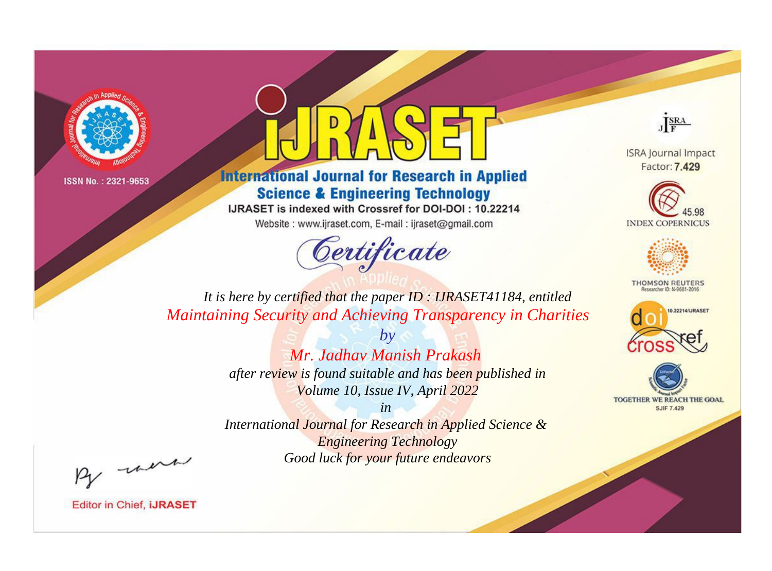



**International Journal for Research in Applied Science & Engineering Technology** 

IJRASET is indexed with Crossref for DOI-DOI: 10.22214

Website: www.ijraset.com, E-mail: ijraset@gmail.com



JERA

**ISRA Journal Impact** Factor: 7.429





**THOMSON REUTERS** 



TOGETHER WE REACH THE GOAL **SJIF 7.429** 

*It is here by certified that the paper ID : IJRASET41184, entitled Maintaining Security and Achieving Transparency in Charities*

> *by Mr. Jadhav Manish Prakash after review is found suitable and has been published in Volume 10, Issue IV, April 2022*

> > *in*

*International Journal for Research in Applied Science & Engineering Technology Good luck for your future endeavors*

By morn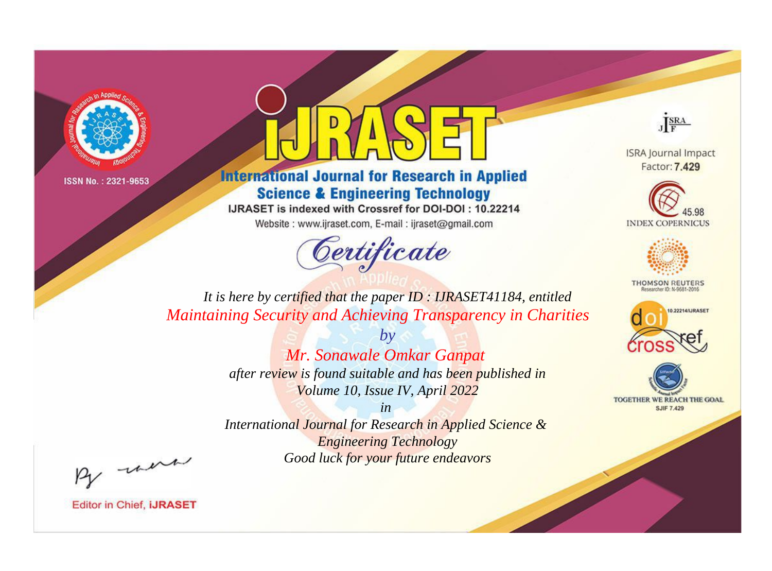



**International Journal for Research in Applied Science & Engineering Technology** 

IJRASET is indexed with Crossref for DOI-DOI: 10.22214

Website: www.ijraset.com, E-mail: ijraset@gmail.com



JERA

**ISRA Journal Impact** Factor: 7.429





**THOMSON REUTERS** 



TOGETHER WE REACH THE GOAL **SJIF 7.429** 

*It is here by certified that the paper ID : IJRASET41184, entitled Maintaining Security and Achieving Transparency in Charities*

> *by Mr. Sonawale Omkar Ganpat after review is found suitable and has been published in Volume 10, Issue IV, April 2022*

> > *in*

*International Journal for Research in Applied Science & Engineering Technology Good luck for your future endeavors*

By morn